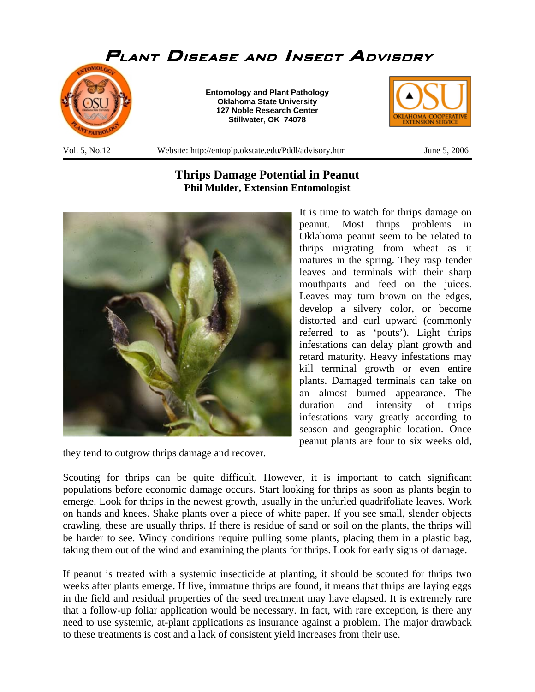

## **Thrips Damage Potential in Peanut Phil Mulder, Extension Entomologist**



they tend to outgrow thrips damage and recover.

It is time to watch for thrips damage on peanut. Most thrips problems in Oklahoma peanut seem to be related to thrips migrating from wheat as it matures in the spring. They rasp tender leaves and terminals with their sharp mouthparts and feed on the juices. Leaves may turn brown on the edges, develop a silvery color, or become distorted and curl upward (commonly referred to as 'pouts'). Light thrips infestations can delay plant growth and retard maturity. Heavy infestations may kill terminal growth or even entire plants. Damaged terminals can take on an almost burned appearance. The duration and intensity of thrips infestations vary greatly according to season and geographic location. Once peanut plants are four to six weeks old,

Scouting for thrips can be quite difficult. However, it is important to catch significant populations before economic damage occurs. Start looking for thrips as soon as plants begin to emerge. Look for thrips in the newest growth, usually in the unfurled quadrifoliate leaves. Work on hands and knees. Shake plants over a piece of white paper. If you see small, slender objects crawling, these are usually thrips. If there is residue of sand or soil on the plants, the thrips will be harder to see. Windy conditions require pulling some plants, placing them in a plastic bag, taking them out of the wind and examining the plants for thrips. Look for early signs of damage.

If peanut is treated with a systemic insecticide at planting, it should be scouted for thrips two weeks after plants emerge. If live, immature thrips are found, it means that thrips are laying eggs in the field and residual properties of the seed treatment may have elapsed. It is extremely rare that a follow-up foliar application would be necessary. In fact, with rare exception, is there any need to use systemic, at-plant applications as insurance against a problem. The major drawback to these treatments is cost and a lack of consistent yield increases from their use.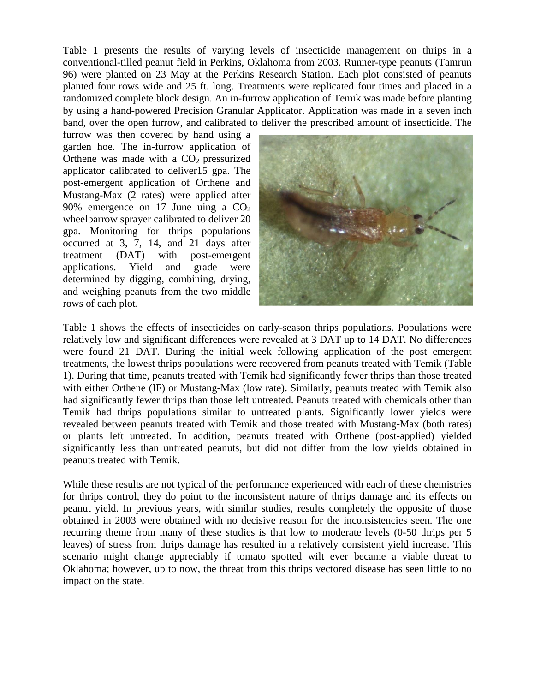Table 1 presents the results of varying levels of insecticide management on thrips in a conventional-tilled peanut field in Perkins, Oklahoma from 2003. Runner-type peanuts (Tamrun 96) were planted on 23 May at the Perkins Research Station. Each plot consisted of peanuts planted four rows wide and 25 ft. long. Treatments were replicated four times and placed in a randomized complete block design. An in-furrow application of Temik was made before planting by using a hand-powered Precision Granular Applicator. Application was made in a seven inch band, over the open furrow, and calibrated to deliver the prescribed amount of insecticide. The

furrow was then covered by hand using a garden hoe. The in-furrow application of Orthene was made with a  $CO<sub>2</sub>$  pressurized applicator calibrated to deliver15 gpa. The post-emergent application of Orthene and Mustang-Max (2 rates) were applied after 90% emergence on 17 June uing a  $CO<sub>2</sub>$ wheelbarrow sprayer calibrated to deliver 20 gpa. Monitoring for thrips populations occurred at 3, 7, 14, and 21 days after treatment (DAT) with post-emergent applications. Yield and grade were determined by digging, combining, drying, and weighing peanuts from the two middle rows of each plot.



Table 1 shows the effects of insecticides on early-season thrips populations. Populations were relatively low and significant differences were revealed at 3 DAT up to 14 DAT. No differences were found 21 DAT. During the initial week following application of the post emergent treatments, the lowest thrips populations were recovered from peanuts treated with Temik (Table 1). During that time, peanuts treated with Temik had significantly fewer thrips than those treated with either Orthene (IF) or Mustang-Max (low rate). Similarly, peanuts treated with Temik also had significantly fewer thrips than those left untreated. Peanuts treated with chemicals other than Temik had thrips populations similar to untreated plants. Significantly lower yields were revealed between peanuts treated with Temik and those treated with Mustang-Max (both rates) or plants left untreated. In addition, peanuts treated with Orthene (post-applied) yielded significantly less than untreated peanuts, but did not differ from the low yields obtained in peanuts treated with Temik.

While these results are not typical of the performance experienced with each of these chemistries for thrips control, they do point to the inconsistent nature of thrips damage and its effects on peanut yield. In previous years, with similar studies, results completely the opposite of those obtained in 2003 were obtained with no decisive reason for the inconsistencies seen. The one recurring theme from many of these studies is that low to moderate levels (0-50 thrips per 5 leaves) of stress from thrips damage has resulted in a relatively consistent yield increase. This scenario might change appreciably if tomato spotted wilt ever became a viable threat to Oklahoma; however, up to now, the threat from this thrips vectored disease has seen little to no impact on the state.